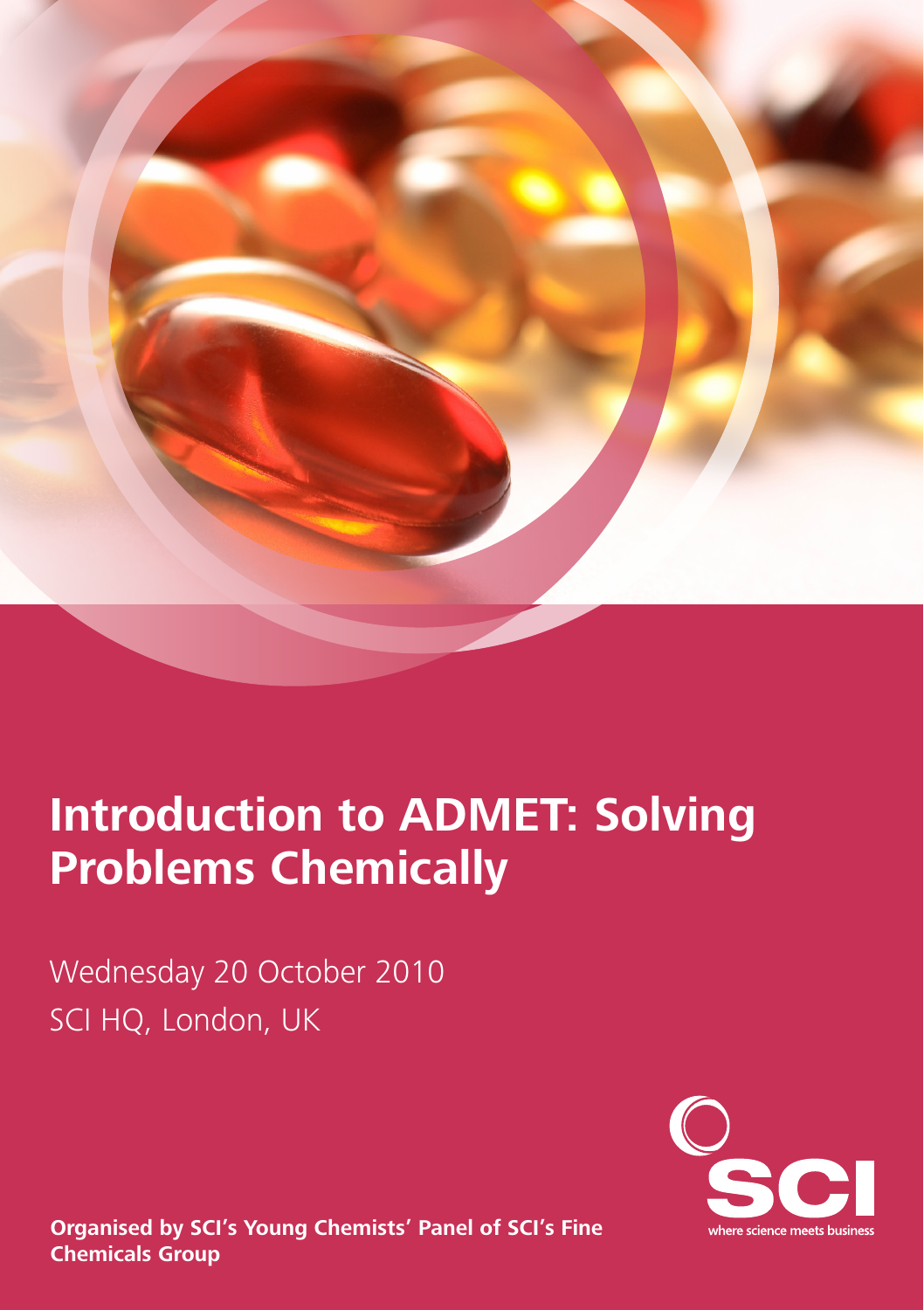

# **Introduction to ADMET: Solving Problems Chemically**

Wednesday 20 October 2010 SCI HQ, London, UK



**Organised by SCI's Young Chemists' Panel of SCI's Fine Chemicals Group**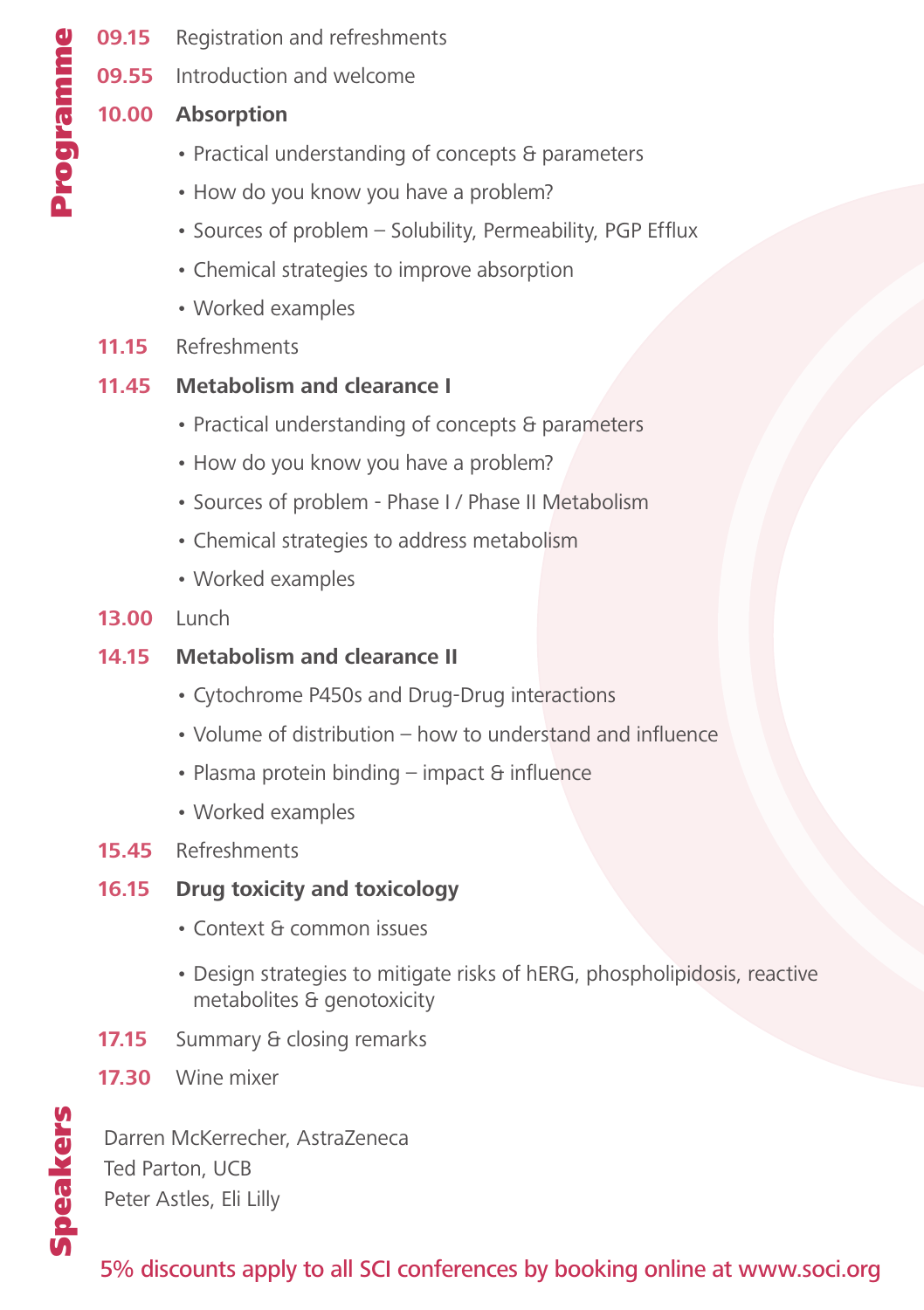- **09.15** Registration and refreshments
- **09.55** Introduction and welcome

#### **10.00 Absorption**

- Practical understanding of concepts & parameters
- How do you know you have a problem?
- Sources of problem Solubility, Permeability, PGP Efflux
- Chemical strategies to improve absorption
- Worked examples
- **11.15** Refreshments

#### **11.45 Metabolism and clearance I**

- Practical understanding of concepts & parameters
- How do you know you have a problem?
- Sources of problem Phase I / Phase II Metabolism
- Chemical strategies to address metabolism
- Worked examples
- **13.00** Lunch
- **14.15 Metabolism and clearance II**
	- Cytochrome P450s and Drug-Drug interactions
	- Volume of distribution how to understand and influence
	- Plasma protein binding impact & influence
	- Worked examples
- **15.45** Refreshments

#### **16.15 Drug toxicity and toxicology**

- Context & common issues
- Design strategies to mitigate risks of hERG, phospholipidosis, reactive metabolites & genotoxicity
- **17.15** Summary & closing remarks
- **17.30** Wine mixer

Speakers

Speakers

Darren McKerrecher, AstraZeneca Ted Parton, UCB Peter Astles, Eli Lilly

### 5% discounts apply to all SCI conferences by booking online at www.soci.org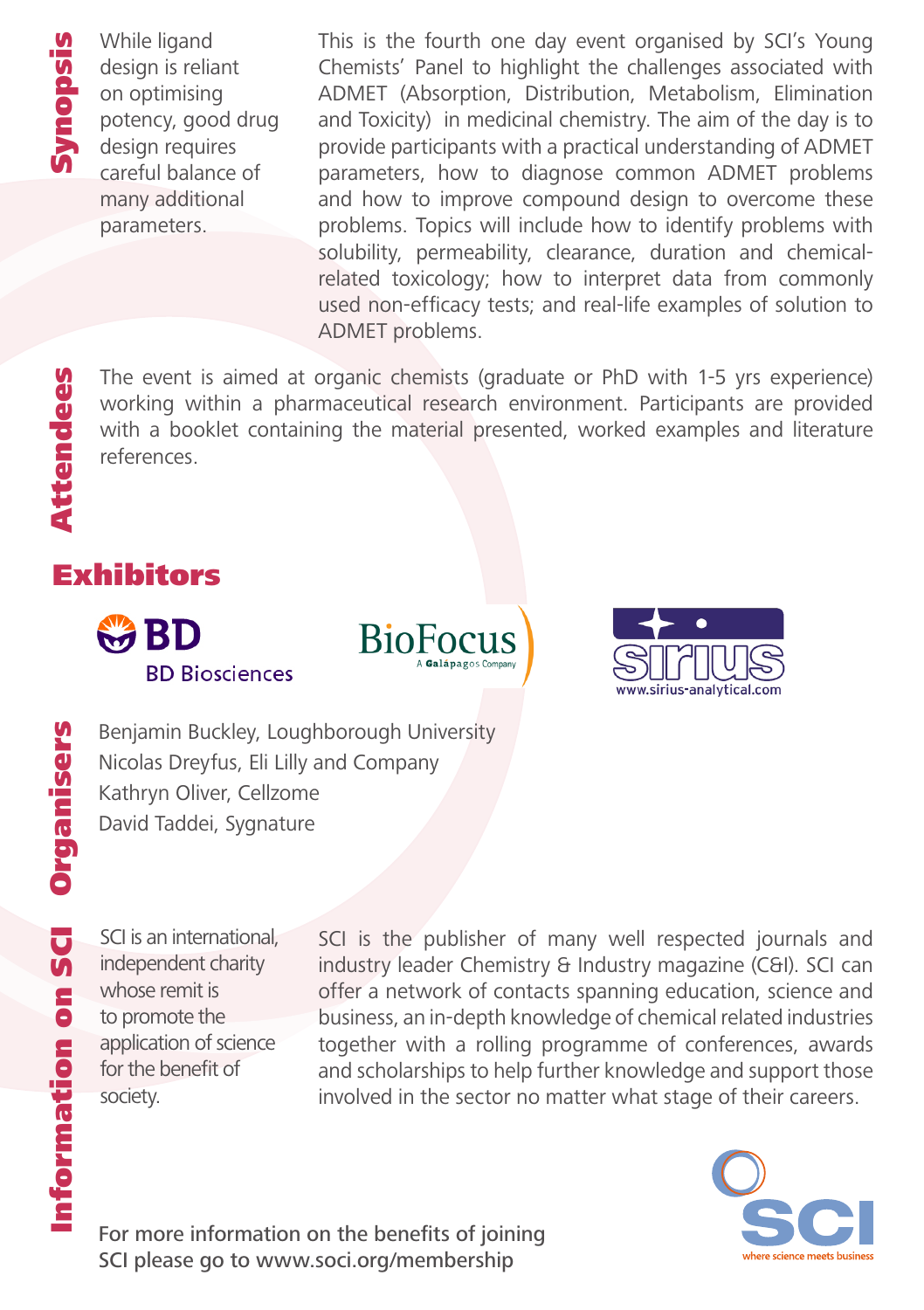While ligand design is reliant on optimising potency, good drug design requires careful balance of many additional parameters.

This is the fourth one day event organised by SCI's Young Chemists' Panel to highlight the challenges associated with ADMET (Absorption, Distribution, Metabolism, Elimination and Toxicity) in medicinal chemistry. The aim of the day is to provide participants with a practical understanding of ADMET parameters, how to diagnose common ADMET problems and how to improve compound design to overcome these problems. Topics will include how to identify problems with solubility, permeability, clearance, duration and chemicalrelated toxicology; how to interpret data from commonly used non-efficacy tests; and real-life examples of solution to ADMET problems.

The event is aimed at organic chemists (graduate or PhD with 1-5 yrs experience) working within a pharmaceutical research environment. Participants are provided with a booklet containing the material presented, worked examples and literature references.

# Attendees Attendees Exhibitors







**Organise Benjamin Buckley, Loughborough University<br>
Nicolas Dreyfus, Eli Lilly and Company<br>
Kathryn Oliver, Cellzome<br>
David Taddei, Sygnature<br>
D** Nicolas Dreyfus, Eli Lilly and Company Kathryn Oliver, Cellzome David Taddei, Sygnature

SCI is an international, independent charity whose remit is to promote the application of science for the benefit of society.

SCI is the publisher of many well respected journals and industry leader Chemistry & Industry magazine (C&I). SCI can offer a network of contacts spanning education, science and business, an in-depth knowledge of chemical related industries together with a rolling programme of conferences, awards and scholarships to help further knowledge and support those involved in the sector no matter what stage of their careers.



For more information on the benefits of joining SCI please go to www.soci.org/membership